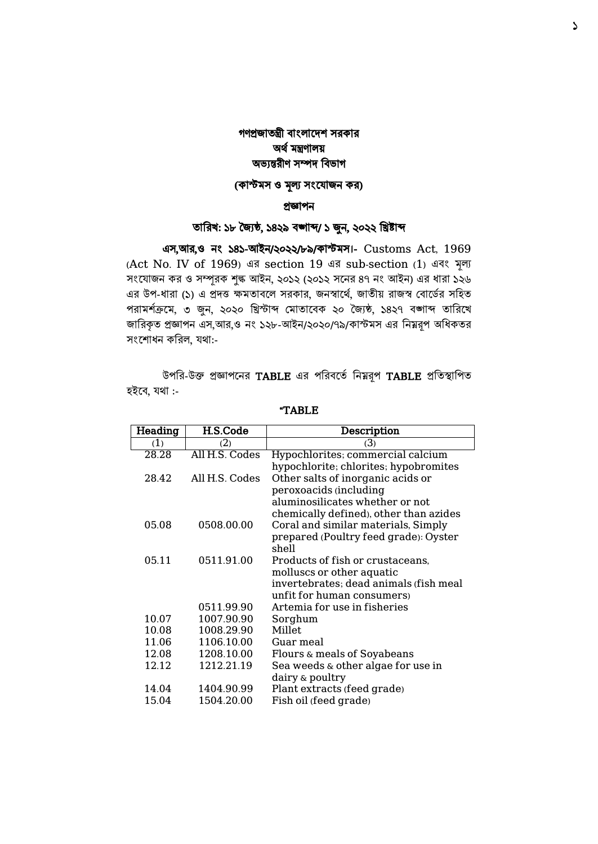### গণপ্রজাতন্ত্রী বাংলাদেশ সরকার অর্থ মন্ত্রণালয় অভ্যন্তরীণ সম্পে ববভ্াগ

## (কাস্টমস ও মূল্য সংযোজন কর)

#### প্রজ্ঞাপন

### তাবরখ: ১৮ জ্যৈষ্ঠ, ১৪২৯ বঙ্গাব্দ/ ১ জুন, ২০২২ বিষ্টাব্দ

এস,আর,ও নাং ১৪১-আইন/২০২২/৮৯/কাস্টমস।- Customs Act, 1969 (Act No. IV of 1969) এর section 19 এর sub-section (1) এবাং মূল্য সংযোজন কর ও সম্পূরক শুল্ক আইন, ২০১২ (২০১২ সনের ৪৭ নং আইন) এর ধারা ১২৬ এর উপ-ধারা (১) এ প্রদত্ত ক্ষমতাবলে সরকার, জনস্বার্থে, জাতীয় রাজস্ব বোর্ডের সহিত পরামর্শক্রমে, ৩ জুন, ২০২০ খ্রিস্টাব্দ মোতাবেক ২০ জ্যৈষ্ঠ, ১৪২৭ বঙ্গাব্দ তারিখে জারিকৃত প্রজ্ঞাপন এস,আর,ও নং ১২৮-আইন/২০২০/৭৯/কাস্টমস এর নিয়রূপ অধিকতর সংশোধন করিল, যথা:-

উপরি-উক্ত প্রজ্ঞাপনের TABLE এর পরিবর্তে নিম্নরূপ TABLE প্রতিস্থাপিত হইবে, যথা :-

| Heading | H.S.Code       | Description                            |
|---------|----------------|----------------------------------------|
| (1)     | (2)            | (3)                                    |
| 28.28   | All H.S. Codes | Hypochlorites; commercial calcium      |
|         |                | hypochlorite; chlorites; hypobromites  |
| 28.42   | All H.S. Codes | Other salts of inorganic acids or      |
|         |                | peroxoacids (including                 |
|         |                | aluminosilicates whether or not        |
|         |                | chemically defined), other than azides |
| 05.08   | 0508.00.00     | Coral and similar materials, Simply    |
|         |                | prepared (Poultry feed grade): Oyster  |
|         |                | shell                                  |
| 05.11   | 0511.91.00     | Products of fish or crustaceans,       |
|         |                | molluscs or other aquatic              |
|         |                | invertebrates; dead animals (fish meal |
|         |                | unfit for human consumers)             |
|         | 0511.99.90     | Artemia for use in fisheries           |
| 10.07   | 1007.90.90     | Sorghum                                |
| 10.08   | 1008.29.90     | Millet.                                |
| 11.06   | 1106.10.00     | Guar meal                              |
| 12.08   | 1208.10.00     | Flours & meals of Soyabeans            |
| 12.12   | 1212.21.19     | Sea weeds & other algae for use in     |
|         |                | dairy & poultry                        |
| 14.04   | 1404.90.99     | Plant extracts (feed grade)            |
| 15.04   | 1504.20.00     | Fish oil (feed grade)                  |

"TABLE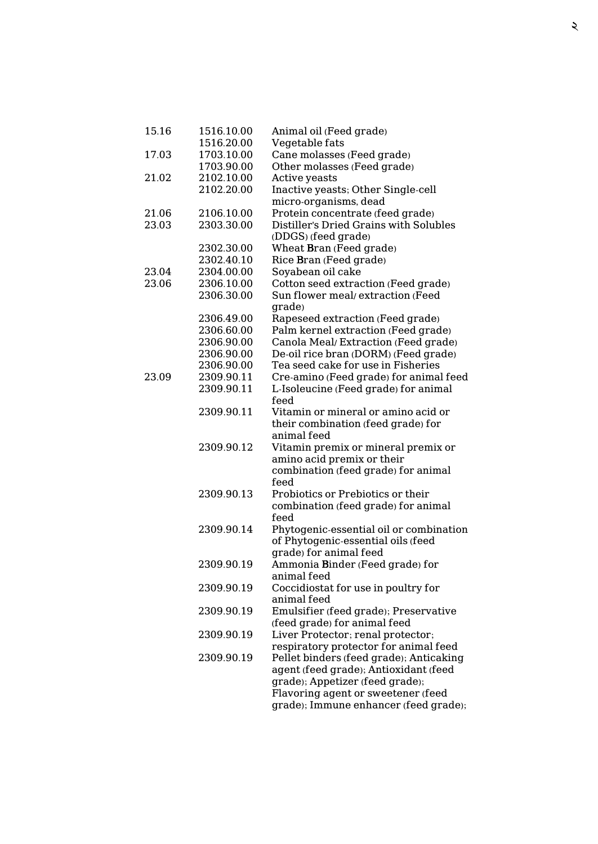| 15.16 | 1516.10.00 | Animal oil (Feed grade)                 |
|-------|------------|-----------------------------------------|
|       | 1516.20.00 | Vegetable fats                          |
| 17.03 | 1703.10.00 | Cane molasses (Feed grade)              |
|       | 1703.90.00 | Other molasses (Feed grade)             |
| 21.02 | 2102.10.00 | Active yeasts                           |
|       | 2102.20.00 | Inactive yeasts; Other Single-cell      |
|       |            | micro-organisms, dead                   |
| 21.06 | 2106.10.00 | Protein concentrate (feed grade)        |
| 23.03 | 2303.30.00 | Distiller's Dried Grains with Solubles  |
|       |            | (DDGS) (feed grade)                     |
|       | 2302.30.00 | Wheat Bran (Feed grade)                 |
|       | 2302.40.10 | Rice Bran (Feed grade)                  |
| 23.04 | 2304.00.00 | Soyabean oil cake                       |
| 23.06 | 2306.10.00 | Cotton seed extraction (Feed grade)     |
|       | 2306.30.00 | Sun flower meal/extraction (Feed        |
|       |            | grade)                                  |
|       | 2306.49.00 | Rapeseed extraction (Feed grade)        |
|       | 2306.60.00 | Palm kernel extraction (Feed grade)     |
|       | 2306.90.00 | Canola Meal/Extraction (Feed grade)     |
|       | 2306.90.00 | De-oil rice bran (DORM) (Feed grade)    |
|       | 2306.90.00 | Tea seed cake for use in Fisheries      |
| 23.09 | 2309.90.11 | Cre-amino (Feed grade) for animal feed  |
|       | 2309.90.11 | L-Isoleucine (Feed grade) for animal    |
|       |            | feed                                    |
|       | 2309.90.11 | Vitamin or mineral or amino acid or     |
|       |            | their combination (feed grade) for      |
|       |            | animal feed                             |
|       | 2309.90.12 | Vitamin premix or mineral premix or     |
|       |            | amino acid premix or their              |
|       |            | combination (feed grade) for animal     |
|       |            | feed                                    |
|       | 2309.90.13 | Probiotics or Prebiotics or their       |
|       |            | combination (feed grade) for animal     |
|       |            | feed                                    |
|       | 2309.90.14 | Phytogenic-essential oil or combination |
|       |            | of Phytogenic-essential oils (feed      |
|       |            | grade) for animal feed                  |
|       | 2309.90.19 | Ammonia Binder (Feed grade) for         |
|       |            | animal feed                             |
|       | 2309.90.19 | Coccidiostat for use in poultry for     |
|       |            | animal feed                             |
|       | 2309.90.19 | Emulsifier (feed grade); Preservative   |
|       |            | (feed grade) for animal feed            |
|       | 2309.90.19 | Liver Protector; renal protector;       |
|       |            | respiratory protector for animal feed   |
|       | 2309.90.19 | Pellet binders (feed grade); Anticaking |
|       |            | agent (feed grade); Antioxidant (feed   |
|       |            | grade); Appetizer (feed grade);         |
|       |            | Flavoring agent or sweetener (feed      |
|       |            | grade); Immune enhancer (feed grade);   |
|       |            |                                         |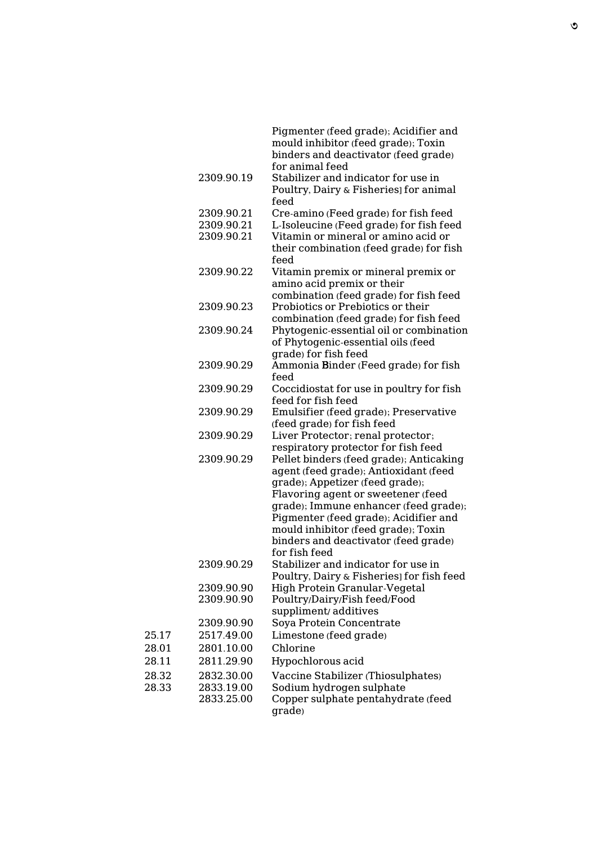|       |            | Pigmenter (feed grade); Acidifier and<br>mould inhibitor (feed grade); Toxin<br>binders and deactivator (feed grade)<br>for animal feed |
|-------|------------|-----------------------------------------------------------------------------------------------------------------------------------------|
|       | 2309.90.19 | Stabilizer and indicator for use in<br>Poultry, Dairy & Fisheries] for animal<br>feed                                                   |
|       | 2309.90.21 | Cre-amino (Feed grade) for fish feed                                                                                                    |
|       | 2309.90.21 | L-Isoleucine (Feed grade) for fish feed                                                                                                 |
|       | 2309.90.21 | Vitamin or mineral or amino acid or<br>their combination (feed grade) for fish<br>feed                                                  |
|       | 2309.90.22 | Vitamin premix or mineral premix or<br>amino acid premix or their                                                                       |
|       |            | combination (feed grade) for fish feed                                                                                                  |
|       | 2309.90.23 | Probiotics or Prebiotics or their                                                                                                       |
|       |            | combination (feed grade) for fish feed                                                                                                  |
|       | 2309.90.24 | Phytogenic-essential oil or combination<br>of Phytogenic-essential oils (feed<br>grade) for fish feed                                   |
|       | 2309.90.29 | Ammonia Binder (Feed grade) for fish                                                                                                    |
|       |            | feed                                                                                                                                    |
|       | 2309.90.29 | Coccidiostat for use in poultry for fish                                                                                                |
|       |            | feed for fish feed                                                                                                                      |
|       | 2309.90.29 | Emulsifier (feed grade); Preservative                                                                                                   |
|       |            | (feed grade) for fish feed                                                                                                              |
|       | 2309.90.29 | Liver Protector; renal protector;                                                                                                       |
|       |            | respiratory protector for fish feed                                                                                                     |
|       | 2309.90.29 | Pellet binders (feed grade); Anticaking                                                                                                 |
|       |            | agent (feed grade); Antioxidant (feed                                                                                                   |
|       |            | grade); Appetizer (feed grade);                                                                                                         |
|       |            | Flavoring agent or sweetener (feed                                                                                                      |
|       |            | grade); Immune enhancer (feed grade);                                                                                                   |
|       |            | Pigmenter (feed grade); Acidifier and                                                                                                   |
|       |            | mould inhibitor (feed grade); Toxin<br>binders and deactivator (feed grade)                                                             |
|       |            | for fish feed                                                                                                                           |
|       | 2309.90.29 | Stabilizer and indicator for use in                                                                                                     |
|       |            | Poultry, Dairy & Fisheries] for fish feed                                                                                               |
|       | 2309.90.90 | High Protein Granular-Vegetal                                                                                                           |
|       | 2309.90.90 | Poultry/Dairy/Fish feed/Food                                                                                                            |
|       |            | suppliment/additives                                                                                                                    |
|       | 2309.90.90 | Soya Protein Concentrate                                                                                                                |
| 25.17 | 2517.49.00 | Limestone (feed grade)                                                                                                                  |
| 28.01 | 2801.10.00 | Chlorine                                                                                                                                |
| 28.11 | 2811.29.90 | Hypochlorous acid                                                                                                                       |
| 28.32 | 2832.30.00 | Vaccine Stabilizer (Thiosulphates)                                                                                                      |
| 28.33 | 2833.19.00 | Sodium hydrogen sulphate                                                                                                                |
|       | 2833.25.00 | Copper sulphate pentahydrate (feed<br>grade)                                                                                            |

25.17 28.01  $28.11$ 

28.33 2833.19.00 Sodium hydrogen sulphate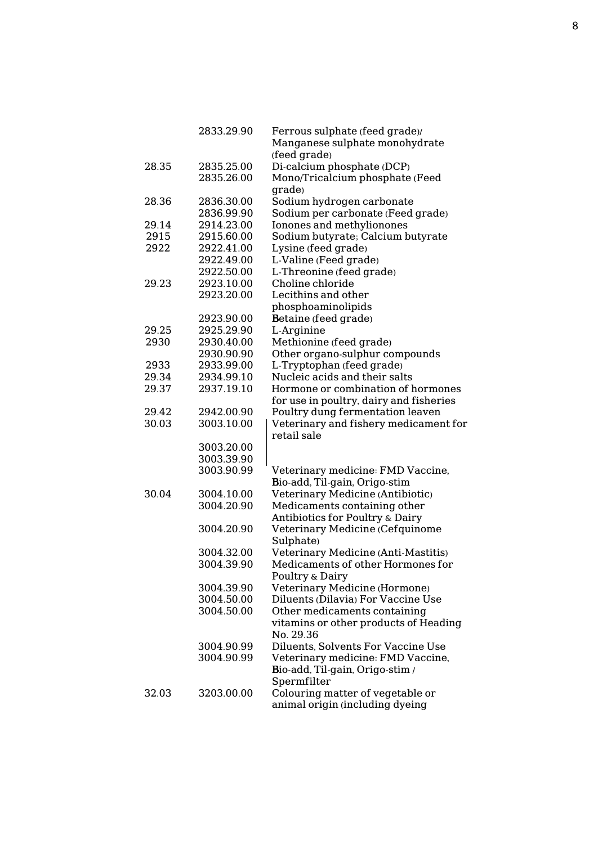|       | 2833.29.90 | Ferrous sulphate (feed grade)/          |
|-------|------------|-----------------------------------------|
|       |            | Manganese sulphate monohydrate          |
|       |            | (feed grade)                            |
| 28.35 | 2835.25.00 | Di-calcium phosphate (DCP)              |
|       | 2835.26.00 | Mono/Tricalcium phosphate (Feed         |
|       |            | grade)                                  |
| 28.36 | 2836.30.00 | Sodium hydrogen carbonate               |
|       | 2836.99.90 | Sodium per carbonate (Feed grade)       |
|       |            |                                         |
| 29.14 | 2914.23.00 | Ionones and methylionones               |
| 2915  | 2915.60.00 | Sodium butyrate; Calcium butyrate       |
| 2922  | 2922.41.00 | Lysine (feed grade)                     |
|       | 2922.49.00 | L-Valine (Feed grade)                   |
|       | 2922.50.00 | L-Threonine (feed grade)                |
| 29.23 | 2923.10.00 | Choline chloride                        |
|       | 2923.20.00 | Lecithins and other                     |
|       |            | phosphoaminolipids                      |
|       | 2923.90.00 | Betaine (feed grade)                    |
| 29.25 | 2925.29.90 | L-Arginine                              |
| 2930  | 2930.40.00 | Methionine (feed grade)                 |
|       | 2930.90.90 | Other organo-sulphur compounds          |
| 2933  | 2933.99.00 | L-Tryptophan (feed grade)               |
| 29.34 | 2934.99.10 | Nucleic acids and their salts           |
| 29.37 | 2937.19.10 | Hormone or combination of hormones      |
|       |            | for use in poultry, dairy and fisheries |
| 29.42 | 2942.00.90 | Poultry dung fermentation leaven        |
| 30.03 | 3003.10.00 | Veterinary and fishery medicament for   |
|       |            | retail sale                             |
|       | 3003.20.00 |                                         |
|       | 3003.39.90 |                                         |
|       | 3003.90.99 | Veterinary medicine: FMD Vaccine,       |
|       |            | Bio-add, Til-gain, Origo-stim           |
| 30.04 | 3004.10.00 | Veterinary Medicine (Antibiotic)        |
|       | 3004.20.90 | Medicaments containing other            |
|       |            | Antibiotics for Poultry & Dairy         |
|       | 3004.20.90 | Veterinary Medicine (Cefquinome         |
|       |            | Sulphate)                               |
|       |            |                                         |
|       | 3004.32.00 | Veterinary Medicine (Anti-Mastitis)     |
|       | 3004.39.90 | Medicaments of other Hormones for       |
|       |            | Poultry & Dairy                         |
|       | 3004.39.90 | Veterinary Medicine (Hormone)           |
|       | 3004.50.00 | Diluents (Dilavia) For Vaccine Use      |
|       | 3004.50.00 | Other medicaments containing            |
|       |            | vitamins or other products of Heading   |
|       |            | No. 29.36                               |
|       | 3004.90.99 | Diluents, Solvents For Vaccine Use      |
|       | 3004.90.99 | Veterinary medicine: FMD Vaccine,       |
|       |            | Bio-add, Til-gain, Origo-stim /         |
|       |            | Spermfilter                             |
| 32.03 | 3203.00.00 | Colouring matter of vegetable or        |
|       |            | animal origin (including dyeing         |